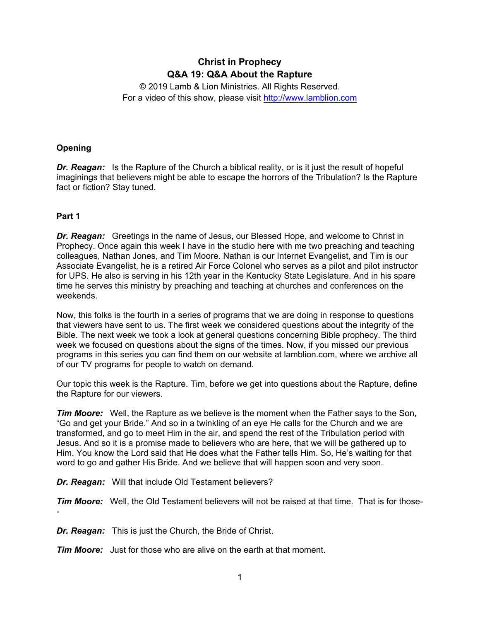# **Christ in Prophecy Q&A 19: Q&A About the Rapture**

© 2019 Lamb & Lion Ministries. All Rights Reserved. For a video of this show, please visit [http://www.lamblion.com](http://www.lamblion.com/)

# **Opening**

*Dr. Reagan:* Is the Rapture of the Church a biblical reality, or is it just the result of hopeful imaginings that believers might be able to escape the horrors of the Tribulation? Is the Rapture fact or fiction? Stay tuned.

## **Part 1**

-

*Dr. Reagan:* Greetings in the name of Jesus, our Blessed Hope, and welcome to Christ in Prophecy. Once again this week I have in the studio here with me two preaching and teaching colleagues, Nathan Jones, and Tim Moore. Nathan is our Internet Evangelist, and Tim is our Associate Evangelist, he is a retired Air Force Colonel who serves as a pilot and pilot instructor for UPS. He also is serving in his 12th year in the Kentucky State Legislature. And in his spare time he serves this ministry by preaching and teaching at churches and conferences on the weekends.

Now, this folks is the fourth in a series of programs that we are doing in response to questions that viewers have sent to us. The first week we considered questions about the integrity of the Bible. The next week we took a look at general questions concerning Bible prophecy. The third week we focused on questions about the signs of the times. Now, if you missed our previous programs in this series you can find them on our website at lamblion.com, where we archive all of our TV programs for people to watch on demand.

Our topic this week is the Rapture. Tim, before we get into questions about the Rapture, define the Rapture for our viewers.

*Tim Moore:* Well, the Rapture as we believe is the moment when the Father says to the Son, "Go and get your Bride." And so in a twinkling of an eye He calls for the Church and we are transformed, and go to meet Him in the air, and spend the rest of the Tribulation period with Jesus. And so it is a promise made to believers who are here, that we will be gathered up to Him. You know the Lord said that He does what the Father tells Him. So, He's waiting for that word to go and gather His Bride. And we believe that will happen soon and very soon.

*Dr. Reagan:* Will that include Old Testament believers?

*Tim Moore:* Well, the Old Testament believers will not be raised at that time. That is for those-

*Dr. Reagan:* This is just the Church, the Bride of Christ.

*Tim Moore:* Just for those who are alive on the earth at that moment.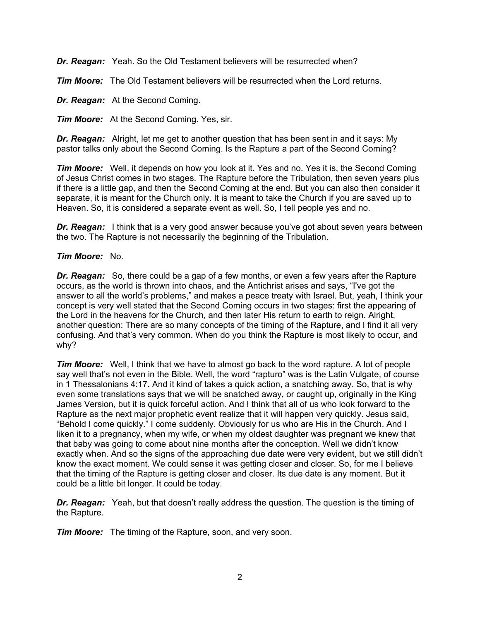*Dr. Reagan:* Yeah. So the Old Testament believers will be resurrected when?

*Tim Moore:* The Old Testament believers will be resurrected when the Lord returns.

*Dr. Reagan:* At the Second Coming.

*Tim Moore:* At the Second Coming. Yes, sir.

*Dr. Reagan:* Alright, let me get to another question that has been sent in and it says: My pastor talks only about the Second Coming. Is the Rapture a part of the Second Coming?

**Tim Moore:** Well, it depends on how you look at it. Yes and no. Yes it is, the Second Coming of Jesus Christ comes in two stages. The Rapture before the Tribulation, then seven years plus if there is a little gap, and then the Second Coming at the end. But you can also then consider it separate, it is meant for the Church only. It is meant to take the Church if you are saved up to Heaven. So, it is considered a separate event as well. So, I tell people yes and no.

*Dr. Reagan:* I think that is a very good answer because you've got about seven years between the two. The Rapture is not necessarily the beginning of the Tribulation.

#### *Tim Moore:* No.

**Dr. Reagan:** So, there could be a gap of a few months, or even a few years after the Rapture occurs, as the world is thrown into chaos, and the Antichrist arises and says, "I've got the answer to all the world's problems," and makes a peace treaty with Israel. But, yeah, I think your concept is very well stated that the Second Coming occurs in two stages: first the appearing of the Lord in the heavens for the Church, and then later His return to earth to reign. Alright, another question: There are so many concepts of the timing of the Rapture, and I find it all very confusing. And that's very common. When do you think the Rapture is most likely to occur, and why?

*Tim Moore:* Well, I think that we have to almost go back to the word rapture. A lot of people say well that's not even in the Bible. Well, the word "rapturo" was is the Latin Vulgate, of course in 1 Thessalonians 4:17. And it kind of takes a quick action, a snatching away. So, that is why even some translations says that we will be snatched away, or caught up, originally in the King James Version, but it is quick forceful action. And I think that all of us who look forward to the Rapture as the next major prophetic event realize that it will happen very quickly. Jesus said, "Behold I come quickly." I come suddenly. Obviously for us who are His in the Church. And I liken it to a pregnancy, when my wife, or when my oldest daughter was pregnant we knew that that baby was going to come about nine months after the conception. Well we didn't know exactly when. And so the signs of the approaching due date were very evident, but we still didn't know the exact moment. We could sense it was getting closer and closer. So, for me I believe that the timing of the Rapture is getting closer and closer. Its due date is any moment. But it could be a little bit longer. It could be today.

**Dr. Reagan:** Yeah, but that doesn't really address the question. The question is the timing of the Rapture.

*Tim Moore:* The timing of the Rapture, soon, and very soon.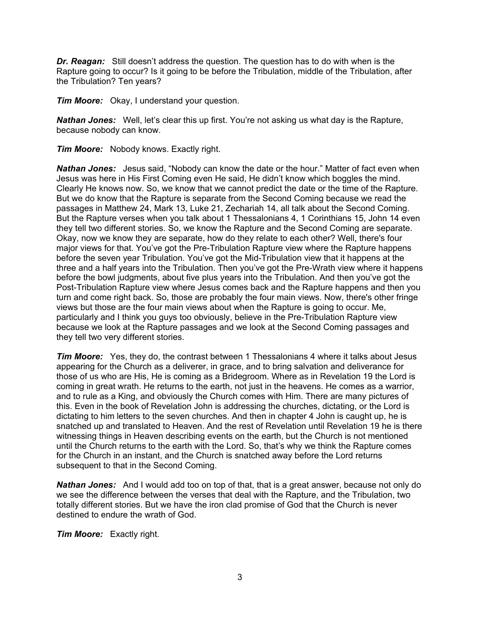*Dr. Reagan:* Still doesn't address the question. The question has to do with when is the Rapture going to occur? Is it going to be before the Tribulation, middle of the Tribulation, after the Tribulation? Ten years?

*Tim Moore:* Okay, I understand your question.

*Nathan Jones:* Well, let's clear this up first. You're not asking us what day is the Rapture, because nobody can know.

*Tim Moore:* Nobody knows. Exactly right.

*Nathan Jones:* Jesus said, "Nobody can know the date or the hour." Matter of fact even when Jesus was here in His First Coming even He said, He didn't know which boggles the mind. Clearly He knows now. So, we know that we cannot predict the date or the time of the Rapture. But we do know that the Rapture is separate from the Second Coming because we read the passages in Matthew 24, Mark 13, Luke 21, Zechariah 14, all talk about the Second Coming. But the Rapture verses when you talk about 1 Thessalonians 4, 1 Corinthians 15, John 14 even they tell two different stories. So, we know the Rapture and the Second Coming are separate. Okay, now we know they are separate, how do they relate to each other? Well, there's four major views for that. You've got the Pre-Tribulation Rapture view where the Rapture happens before the seven year Tribulation. You've got the Mid-Tribulation view that it happens at the three and a half years into the Tribulation. Then you've got the Pre-Wrath view where it happens before the bowl judgments, about five plus years into the Tribulation. And then you've got the Post-Tribulation Rapture view where Jesus comes back and the Rapture happens and then you turn and come right back. So, those are probably the four main views. Now, there's other fringe views but those are the four main views about when the Rapture is going to occur. Me, particularly and I think you guys too obviously, believe in the Pre-Tribulation Rapture view because we look at the Rapture passages and we look at the Second Coming passages and they tell two very different stories.

*Tim Moore:* Yes, they do, the contrast between 1 Thessalonians 4 where it talks about Jesus appearing for the Church as a deliverer, in grace, and to bring salvation and deliverance for those of us who are His, He is coming as a Bridegroom. Where as in Revelation 19 the Lord is coming in great wrath. He returns to the earth, not just in the heavens. He comes as a warrior, and to rule as a King, and obviously the Church comes with Him. There are many pictures of this. Even in the book of Revelation John is addressing the churches, dictating, or the Lord is dictating to him letters to the seven churches. And then in chapter 4 John is caught up, he is snatched up and translated to Heaven. And the rest of Revelation until Revelation 19 he is there witnessing things in Heaven describing events on the earth, but the Church is not mentioned until the Church returns to the earth with the Lord. So, that's why we think the Rapture comes for the Church in an instant, and the Church is snatched away before the Lord returns subsequent to that in the Second Coming.

*Nathan Jones:* And I would add too on top of that, that is a great answer, because not only do we see the difference between the verses that deal with the Rapture, and the Tribulation, two totally different stories. But we have the iron clad promise of God that the Church is never destined to endure the wrath of God.

*Tim Moore:* Exactly right.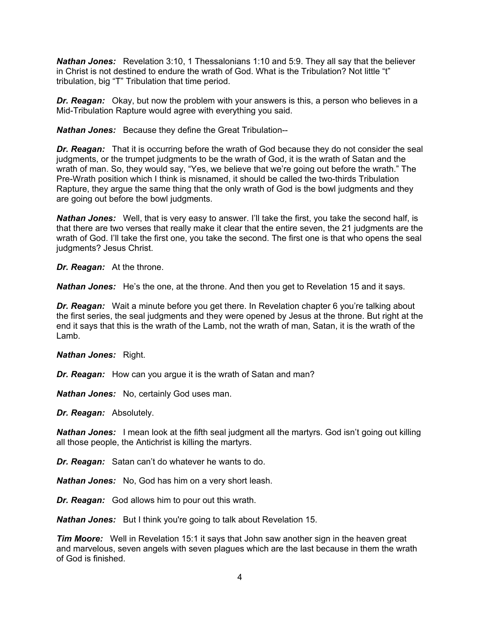**Nathan Jones:** Revelation 3:10, 1 Thessalonians 1:10 and 5:9. They all say that the believer in Christ is not destined to endure the wrath of God. What is the Tribulation? Not little "t" tribulation, big "T" Tribulation that time period.

*Dr. Reagan:* Okay, but now the problem with your answers is this, a person who believes in a Mid-Tribulation Rapture would agree with everything you said.

*Nathan Jones:* Because they define the Great Tribulation--

*Dr. Reagan:* That it is occurring before the wrath of God because they do not consider the seal judgments, or the trumpet judgments to be the wrath of God, it is the wrath of Satan and the wrath of man. So, they would say, "Yes, we believe that we're going out before the wrath." The Pre-Wrath position which I think is misnamed, it should be called the two-thirds Tribulation Rapture, they argue the same thing that the only wrath of God is the bowl judgments and they are going out before the bowl judgments.

*Nathan Jones:* Well, that is very easy to answer. I'll take the first, you take the second half, is that there are two verses that really make it clear that the entire seven, the 21 judgments are the wrath of God. I'll take the first one, you take the second. The first one is that who opens the seal judgments? Jesus Christ.

*Dr. Reagan:* At the throne.

*Nathan Jones:* He's the one, at the throne. And then you get to Revelation 15 and it says.

*Dr. Reagan:* Wait a minute before you get there. In Revelation chapter 6 you're talking about the first series, the seal judgments and they were opened by Jesus at the throne. But right at the end it says that this is the wrath of the Lamb, not the wrath of man, Satan, it is the wrath of the Lamb.

*Nathan Jones:* Right.

*Dr. Reagan:* How can you argue it is the wrath of Satan and man?

*Nathan Jones:* No, certainly God uses man.

*Dr. Reagan:* Absolutely.

*Nathan Jones:* I mean look at the fifth seal judgment all the martyrs. God isn't going out killing all those people, the Antichrist is killing the martyrs.

*Dr. Reagan:* Satan can't do whatever he wants to do.

*Nathan Jones:* No, God has him on a very short leash.

*Dr. Reagan:* God allows him to pour out this wrath.

*Nathan Jones:* But I think you're going to talk about Revelation 15.

*Tim Moore:* Well in Revelation 15:1 it says that John saw another sign in the heaven great and marvelous, seven angels with seven plagues which are the last because in them the wrath of God is finished.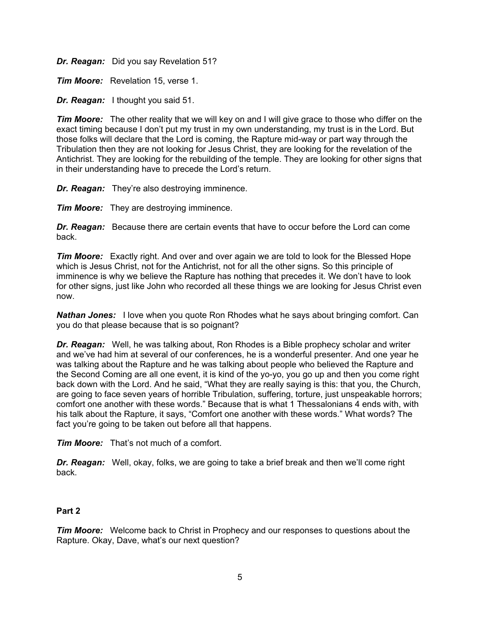*Dr. Reagan:* Did you say Revelation 51?

*Tim Moore:* Revelation 15, verse 1.

*Dr. Reagan:* I thought you said 51.

*Tim Moore:* The other reality that we will key on and I will give grace to those who differ on the exact timing because I don't put my trust in my own understanding, my trust is in the Lord. But those folks will declare that the Lord is coming, the Rapture mid-way or part way through the Tribulation then they are not looking for Jesus Christ, they are looking for the revelation of the Antichrist. They are looking for the rebuilding of the temple. They are looking for other signs that in their understanding have to precede the Lord's return.

*Dr. Reagan:* They're also destroying imminence.

*Tim Moore:* They are destroying imminence.

*Dr. Reagan:* Because there are certain events that have to occur before the Lord can come back.

*Tim Moore:* Exactly right. And over and over again we are told to look for the Blessed Hope which is Jesus Christ, not for the Antichrist, not for all the other signs. So this principle of imminence is why we believe the Rapture has nothing that precedes it. We don't have to look for other signs, just like John who recorded all these things we are looking for Jesus Christ even now.

*Nathan Jones:* I love when you quote Ron Rhodes what he says about bringing comfort. Can you do that please because that is so poignant?

*Dr. Reagan:* Well, he was talking about, Ron Rhodes is a Bible prophecy scholar and writer and we've had him at several of our conferences, he is a wonderful presenter. And one year he was talking about the Rapture and he was talking about people who believed the Rapture and the Second Coming are all one event, it is kind of the yo-yo, you go up and then you come right back down with the Lord. And he said, "What they are really saying is this: that you, the Church, are going to face seven years of horrible Tribulation, suffering, torture, just unspeakable horrors; comfort one another with these words." Because that is what 1 Thessalonians 4 ends with, with his talk about the Rapture, it says, "Comfort one another with these words." What words? The fact you're going to be taken out before all that happens.

*Tim Moore:* That's not much of a comfort.

*Dr. Reagan:* Well, okay, folks, we are going to take a brief break and then we'll come right back.

## **Part 2**

*Tim Moore:* Welcome back to Christ in Prophecy and our responses to questions about the Rapture. Okay, Dave, what's our next question?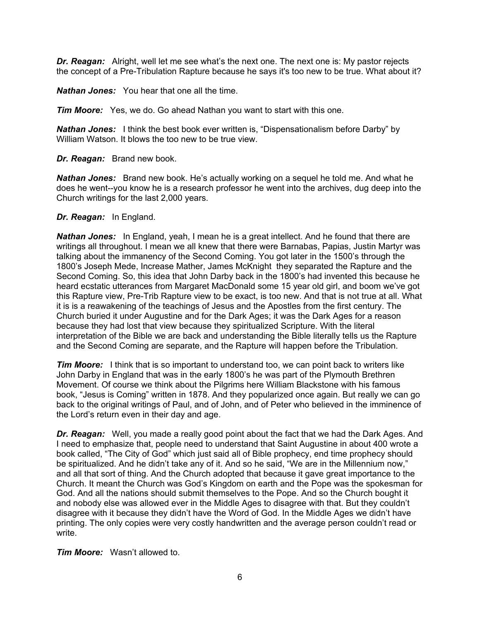*Dr. Reagan:* Alright, well let me see what's the next one. The next one is: My pastor rejects the concept of a Pre-Tribulation Rapture because he says it's too new to be true. What about it?

*Nathan Jones:* You hear that one all the time.

*Tim Moore:* Yes, we do. Go ahead Nathan you want to start with this one.

*Nathan Jones:* I think the best book ever written is, "Dispensationalism before Darby" by William Watson. It blows the too new to be true view.

*Dr. Reagan:* Brand new book.

*Nathan Jones:* Brand new book. He's actually working on a sequel he told me. And what he does he went--you know he is a research professor he went into the archives, dug deep into the Church writings for the last 2,000 years.

## *Dr. Reagan:* In England.

*Nathan Jones:* In England, yeah, I mean he is a great intellect. And he found that there are writings all throughout. I mean we all knew that there were Barnabas, Papias, Justin Martyr was talking about the immanency of the Second Coming. You got later in the 1500's through the 1800's Joseph Mede, Increase Mather, James McKnight they separated the Rapture and the Second Coming. So, this idea that John Darby back in the 1800's had invented this because he heard ecstatic utterances from Margaret MacDonald some 15 year old girl, and boom we've got this Rapture view, Pre-Trib Rapture view to be exact, is too new. And that is not true at all. What it is is a reawakening of the teachings of Jesus and the Apostles from the first century. The Church buried it under Augustine and for the Dark Ages; it was the Dark Ages for a reason because they had lost that view because they spiritualized Scripture. With the literal interpretation of the Bible we are back and understanding the Bible literally tells us the Rapture and the Second Coming are separate, and the Rapture will happen before the Tribulation.

*Tim Moore:* I think that is so important to understand too, we can point back to writers like John Darby in England that was in the early 1800's he was part of the Plymouth Brethren Movement. Of course we think about the Pilgrims here William Blackstone with his famous book, "Jesus is Coming" written in 1878. And they popularized once again. But really we can go back to the original writings of Paul, and of John, and of Peter who believed in the imminence of the Lord's return even in their day and age.

*Dr. Reagan:* Well, you made a really good point about the fact that we had the Dark Ages. And I need to emphasize that, people need to understand that Saint Augustine in about 400 wrote a book called, "The City of God" which just said all of Bible prophecy, end time prophecy should be spiritualized. And he didn't take any of it. And so he said, "We are in the Millennium now," and all that sort of thing. And the Church adopted that because it gave great importance to the Church. It meant the Church was God's Kingdom on earth and the Pope was the spokesman for God. And all the nations should submit themselves to the Pope. And so the Church bought it and nobody else was allowed ever in the Middle Ages to disagree with that. But they couldn't disagree with it because they didn't have the Word of God. In the Middle Ages we didn't have printing. The only copies were very costly handwritten and the average person couldn't read or write.

*Tim Moore:* Wasn't allowed to.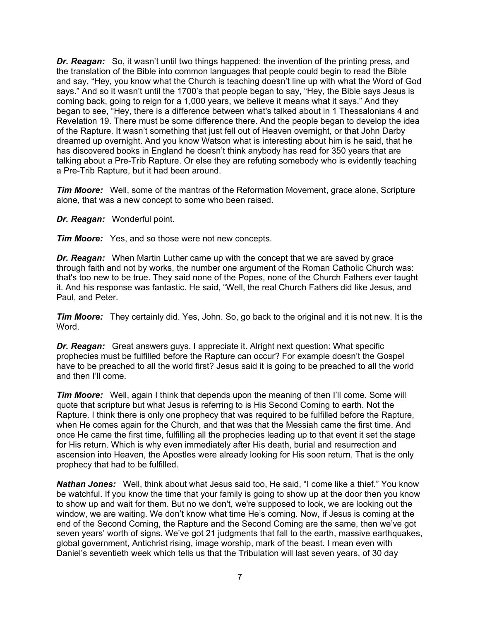*Dr. Reagan:* So, it wasn't until two things happened: the invention of the printing press, and the translation of the Bible into common languages that people could begin to read the Bible and say, "Hey, you know what the Church is teaching doesn't line up with what the Word of God says." And so it wasn't until the 1700's that people began to say, "Hey, the Bible says Jesus is coming back, going to reign for a 1,000 years, we believe it means what it says." And they began to see, "Hey, there is a difference between what's talked about in 1 Thessalonians 4 and Revelation 19. There must be some difference there. And the people began to develop the idea of the Rapture. It wasn't something that just fell out of Heaven overnight, or that John Darby dreamed up overnight. And you know Watson what is interesting about him is he said, that he has discovered books in England he doesn't think anybody has read for 350 years that are talking about a Pre-Trib Rapture. Or else they are refuting somebody who is evidently teaching a Pre-Trib Rapture, but it had been around.

*Tim Moore:* Well, some of the mantras of the Reformation Movement, grace alone, Scripture alone, that was a new concept to some who been raised.

*Dr. Reagan:* Wonderful point.

*Tim Moore:* Yes, and so those were not new concepts.

*Dr. Reagan:* When Martin Luther came up with the concept that we are saved by grace through faith and not by works, the number one argument of the Roman Catholic Church was: that's too new to be true. They said none of the Popes, none of the Church Fathers ever taught it. And his response was fantastic. He said, "Well, the real Church Fathers did like Jesus, and Paul, and Peter.

*Tim Moore:* They certainly did. Yes, John. So, go back to the original and it is not new. It is the Word.

*Dr. Reagan:* Great answers guys. I appreciate it. Alright next question: What specific prophecies must be fulfilled before the Rapture can occur? For example doesn't the Gospel have to be preached to all the world first? Jesus said it is going to be preached to all the world and then I'll come.

*Tim Moore:* Well, again I think that depends upon the meaning of then I'll come. Some will quote that scripture but what Jesus is referring to is His Second Coming to earth. Not the Rapture. I think there is only one prophecy that was required to be fulfilled before the Rapture, when He comes again for the Church, and that was that the Messiah came the first time. And once He came the first time, fulfilling all the prophecies leading up to that event it set the stage for His return. Which is why even immediately after His death, burial and resurrection and ascension into Heaven, the Apostles were already looking for His soon return. That is the only prophecy that had to be fulfilled.

*Nathan Jones:* Well, think about what Jesus said too, He said, "I come like a thief." You know be watchful. If you know the time that your family is going to show up at the door then you know to show up and wait for them. But no we don't, we're supposed to look, we are looking out the window, we are waiting. We don't know what time He's coming. Now, if Jesus is coming at the end of the Second Coming, the Rapture and the Second Coming are the same, then we've got seven years' worth of signs. We've got 21 judgments that fall to the earth, massive earthquakes, global government, Antichrist rising, image worship, mark of the beast. I mean even with Daniel's seventieth week which tells us that the Tribulation will last seven years, of 30 day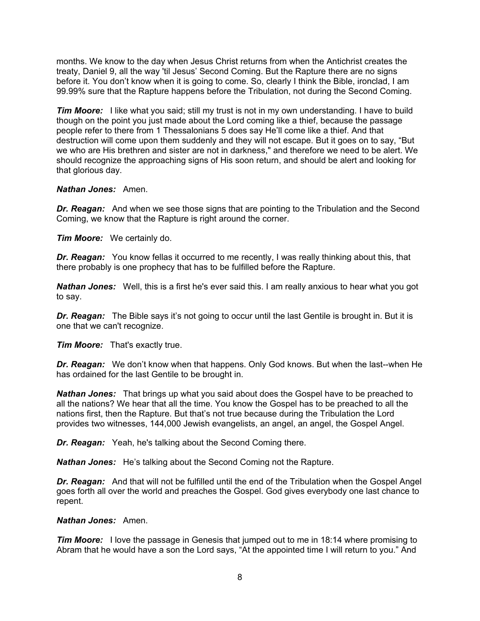months. We know to the day when Jesus Christ returns from when the Antichrist creates the treaty, Daniel 9, all the way 'til Jesus' Second Coming. But the Rapture there are no signs before it. You don't know when it is going to come. So, clearly I think the Bible, ironclad, I am 99.99% sure that the Rapture happens before the Tribulation, not during the Second Coming.

**Tim Moore:** I like what you said; still my trust is not in my own understanding. I have to build though on the point you just made about the Lord coming like a thief, because the passage people refer to there from 1 Thessalonians 5 does say He'll come like a thief. And that destruction will come upon them suddenly and they will not escape. But it goes on to say, "But we who are His brethren and sister are not in darkness," and therefore we need to be alert. We should recognize the approaching signs of His soon return, and should be alert and looking for that glorious day.

## *Nathan Jones:* Amen.

*Dr. Reagan:* And when we see those signs that are pointing to the Tribulation and the Second Coming, we know that the Rapture is right around the corner.

*Tim Moore:* We certainly do.

**Dr. Reagan:** You know fellas it occurred to me recently, I was really thinking about this, that there probably is one prophecy that has to be fulfilled before the Rapture.

*Nathan Jones:* Well, this is a first he's ever said this. I am really anxious to hear what you got to say.

**Dr. Reagan:** The Bible says it's not going to occur until the last Gentile is brought in. But it is one that we can't recognize.

*Tim Moore:* That's exactly true.

*Dr. Reagan:* We don't know when that happens. Only God knows. But when the last--when He has ordained for the last Gentile to be brought in.

*Nathan Jones:* That brings up what you said about does the Gospel have to be preached to all the nations? We hear that all the time. You know the Gospel has to be preached to all the nations first, then the Rapture. But that's not true because during the Tribulation the Lord provides two witnesses, 144,000 Jewish evangelists, an angel, an angel, the Gospel Angel.

*Dr. Reagan:* Yeah, he's talking about the Second Coming there.

*Nathan Jones:* He's talking about the Second Coming not the Rapture.

*Dr. Reagan:* And that will not be fulfilled until the end of the Tribulation when the Gospel Angel goes forth all over the world and preaches the Gospel. God gives everybody one last chance to repent.

## *Nathan Jones:* Amen.

*Tim Moore:* I love the passage in Genesis that jumped out to me in 18:14 where promising to Abram that he would have a son the Lord says, "At the appointed time I will return to you." And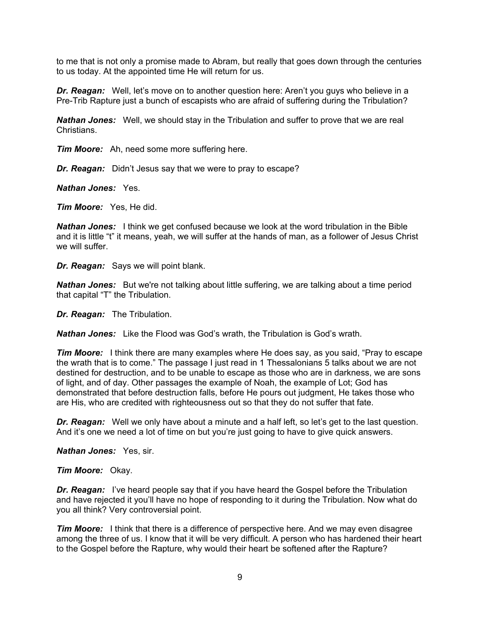to me that is not only a promise made to Abram, but really that goes down through the centuries to us today. At the appointed time He will return for us.

*Dr. Reagan:* Well, let's move on to another question here: Aren't you guys who believe in a Pre-Trib Rapture just a bunch of escapists who are afraid of suffering during the Tribulation?

*Nathan Jones:* Well, we should stay in the Tribulation and suffer to prove that we are real Christians.

*Tim Moore:* Ah, need some more suffering here.

*Dr. Reagan:* Didn't Jesus say that we were to pray to escape?

*Nathan Jones:* Yes.

*Tim Moore:* Yes, He did.

*Nathan Jones:* I think we get confused because we look at the word tribulation in the Bible and it is little "t" it means, yeah, we will suffer at the hands of man, as a follower of Jesus Christ we will suffer.

*Dr. Reagan:* Says we will point blank.

*Nathan Jones:* But we're not talking about little suffering, we are talking about a time period that capital "T" the Tribulation.

*Dr. Reagan:* The Tribulation.

*Nathan Jones:* Like the Flood was God's wrath, the Tribulation is God's wrath.

*Tim Moore:* I think there are many examples where He does say, as you said, "Pray to escape the wrath that is to come." The passage I just read in 1 Thessalonians 5 talks about we are not destined for destruction, and to be unable to escape as those who are in darkness, we are sons of light, and of day. Other passages the example of Noah, the example of Lot; God has demonstrated that before destruction falls, before He pours out judgment, He takes those who are His, who are credited with righteousness out so that they do not suffer that fate.

*Dr. Reagan:* Well we only have about a minute and a half left, so let's get to the last question. And it's one we need a lot of time on but you're just going to have to give quick answers.

*Nathan Jones:* Yes, sir.

*Tim Moore:* Okay.

**Dr. Reagan:** I've heard people say that if you have heard the Gospel before the Tribulation and have rejected it you'll have no hope of responding to it during the Tribulation. Now what do you all think? Very controversial point.

*Tim Moore:* I think that there is a difference of perspective here. And we may even disagree among the three of us. I know that it will be very difficult. A person who has hardened their heart to the Gospel before the Rapture, why would their heart be softened after the Rapture?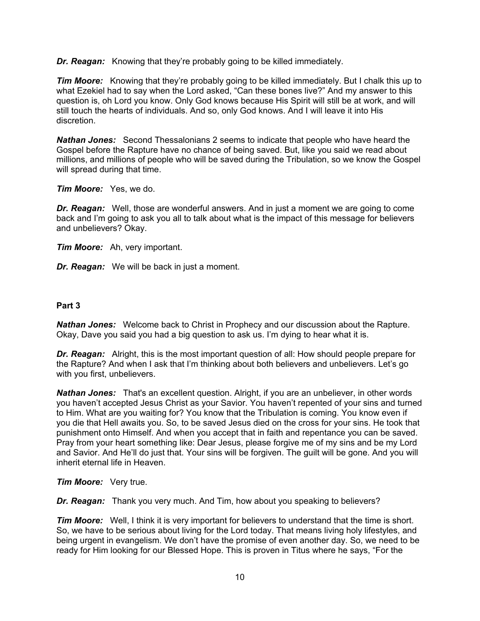*Dr. Reagan:* Knowing that they're probably going to be killed immediately.

**Tim Moore:** Knowing that they're probably going to be killed immediately. But I chalk this up to what Ezekiel had to say when the Lord asked, "Can these bones live?" And my answer to this question is, oh Lord you know. Only God knows because His Spirit will still be at work, and will still touch the hearts of individuals. And so, only God knows. And I will leave it into His discretion.

*Nathan Jones:* Second Thessalonians 2 seems to indicate that people who have heard the Gospel before the Rapture have no chance of being saved. But, like you said we read about millions, and millions of people who will be saved during the Tribulation, so we know the Gospel will spread during that time.

## *Tim Moore:* Yes, we do.

*Dr. Reagan:* Well, those are wonderful answers. And in just a moment we are going to come back and I'm going to ask you all to talk about what is the impact of this message for believers and unbelievers? Okay.

*Tim Moore:* Ah, very important.

*Dr. Reagan:* We will be back in just a moment.

## **Part 3**

*Nathan Jones:* Welcome back to Christ in Prophecy and our discussion about the Rapture. Okay, Dave you said you had a big question to ask us. I'm dying to hear what it is.

*Dr. Reagan:* Alright, this is the most important question of all: How should people prepare for the Rapture? And when I ask that I'm thinking about both believers and unbelievers. Let's go with you first, unbelievers.

*Nathan Jones:* That's an excellent question. Alright, if you are an unbeliever, in other words you haven't accepted Jesus Christ as your Savior. You haven't repented of your sins and turned to Him. What are you waiting for? You know that the Tribulation is coming. You know even if you die that Hell awaits you. So, to be saved Jesus died on the cross for your sins. He took that punishment onto Himself. And when you accept that in faith and repentance you can be saved. Pray from your heart something like: Dear Jesus, please forgive me of my sins and be my Lord and Savior. And He'll do just that. Your sins will be forgiven. The guilt will be gone. And you will inherit eternal life in Heaven.

## *Tim Moore:* Very true.

*Dr. Reagan:* Thank you very much. And Tim, how about you speaking to believers?

*Tim Moore:* Well, I think it is very important for believers to understand that the time is short. So, we have to be serious about living for the Lord today. That means living holy lifestyles, and being urgent in evangelism. We don't have the promise of even another day. So, we need to be ready for Him looking for our Blessed Hope. This is proven in Titus where he says, "For the